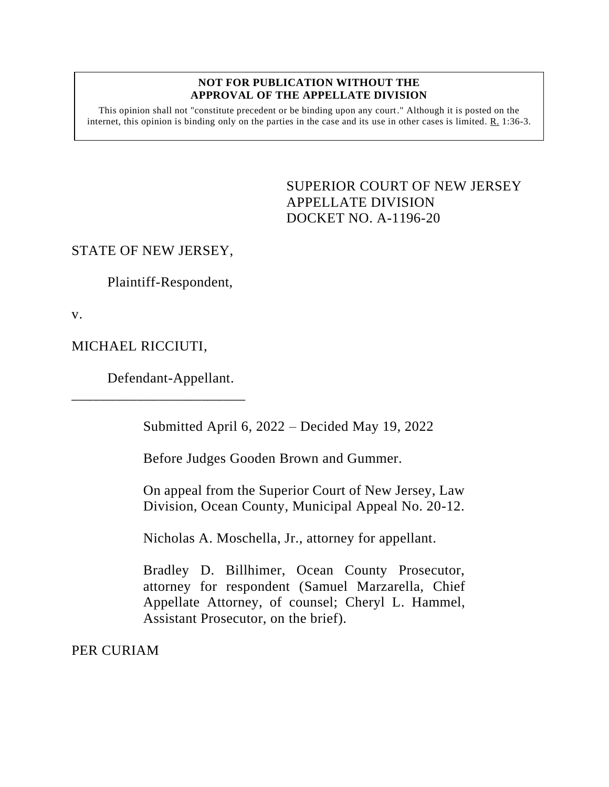## **NOT FOR PUBLICATION WITHOUT THE APPROVAL OF THE APPELLATE DIVISION**

This opinion shall not "constitute precedent or be binding upon any court." Although it is posted on the internet, this opinion is binding only on the parties in the case and its use in other cases is limited. R. 1:36-3.

> <span id="page-0-0"></span>SUPERIOR COURT OF NEW JERSEY APPELLATE DIVISION DOCKET NO. A-1196-20

## STATE OF NEW JERSEY,

Plaintiff-Respondent,

v.

MICHAEL RICCIUTI,

Defendant-Appellant.

\_\_\_\_\_\_\_\_\_\_\_\_\_\_\_\_\_\_\_\_\_\_\_\_

Submitted April 6, 2022 – Decided May 19, 2022

Before Judges Gooden Brown and Gummer.

On appeal from the Superior Court of New Jersey, Law Division, Ocean County, Municipal Appeal No. 20-12.

Nicholas A. Moschella, Jr., attorney for appellant.

Bradley D. Billhimer, Ocean County Prosecutor, attorney for respondent (Samuel Marzarella, Chief Appellate Attorney, of counsel; Cheryl L. Hammel, Assistant Prosecutor, on the brief).

PER CURIAM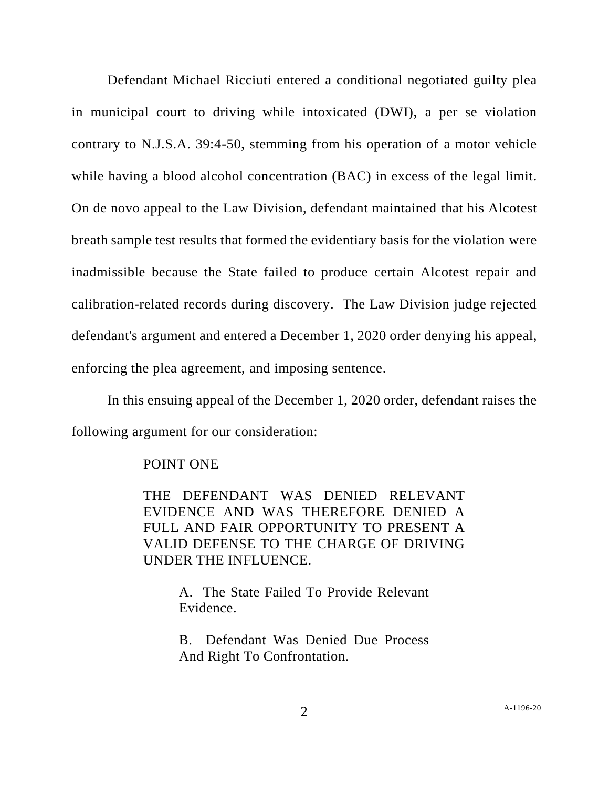Defendant Michael Ricciuti entered a conditional negotiated guilty plea in municipal court to driving while intoxicated (DWI), a per se violation contrary to N.J.S.A. 39:4-50, stemming from his operation of a motor vehicle while having a blood alcohol concentration (BAC) in excess of the legal limit. On de novo appeal to the Law Division, defendant maintained that his Alcotest breath sample test results that formed the evidentiary basis for the violation were inadmissible because the State failed to produce certain Alcotest repair and calibration-related records during discovery. The Law Division judge rejected defendant's argument and entered a December 1, 2020 order denying his appeal, enforcing the plea agreement, and imposing sentence.

In this ensuing appeal of the December 1, 2020 order, defendant raises the following argument for our consideration:

## POINT ONE

THE DEFENDANT WAS DENIED RELEVANT EVIDENCE AND WAS THEREFORE DENIED A FULL AND FAIR OPPORTUNITY TO PRESENT A VALID DEFENSE TO THE CHARGE OF DRIVING UNDER THE INFLUENCE.

> A. The State Failed To Provide Relevant Evidence.

> B. Defendant Was Denied Due Process And Right To Confrontation.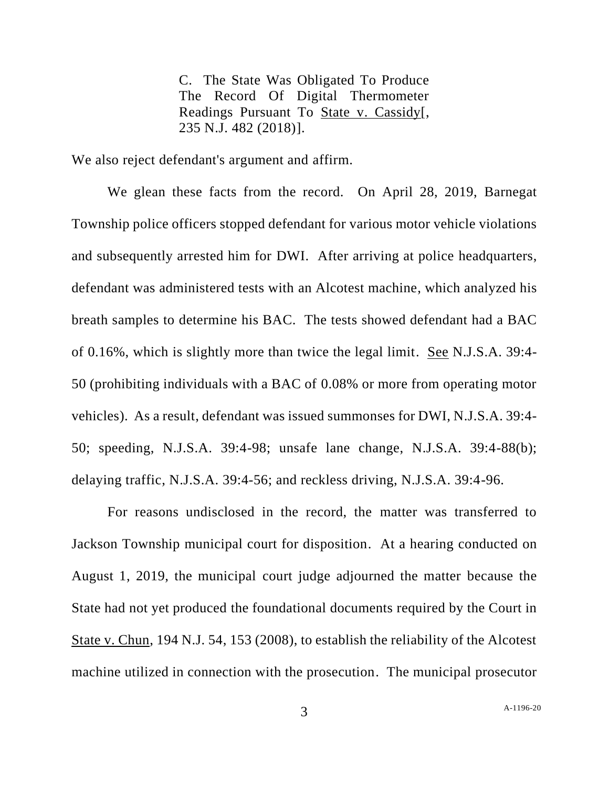C. The State Was Obligated To Produce The Record Of Digital Thermometer Readings Pursuant To State v. Cassidy[, 235 N.J. 482 (2018)].

We also reject defendant's argument and affirm.

We glean these facts from the record. On April 28, 2019, Barnegat Township police officers stopped defendant for various motor vehicle violations and subsequently arrested him for DWI. After arriving at police headquarters, defendant was administered tests with an Alcotest machine, which analyzed his breath samples to determine his BAC. The tests showed defendant had a BAC of 0.16%, which is slightly more than twice the legal limit. See N.J.S.A. 39:4- 50 (prohibiting individuals with a BAC of 0.08% or more from operating motor vehicles). As a result, defendant was issued summonses for DWI, N.J.S.A. 39:4- 50; speeding, N.J.S.A. 39:4-98; unsafe lane change, N.J.S.A. 39:4-88(b); delaying traffic, N.J.S.A. 39:4-56; and reckless driving, N.J.S.A. 39:4-96.

For reasons undisclosed in the record, the matter was transferred to Jackson Township municipal court for disposition. At a hearing conducted on August 1, 2019, the municipal court judge adjourned the matter because the State had not yet produced the foundational documents required by the Court in State v. Chun, 194 N.J. 54, 153 (2008), to establish the reliability of the Alcotest machine utilized in connection with the prosecution. The municipal prosecutor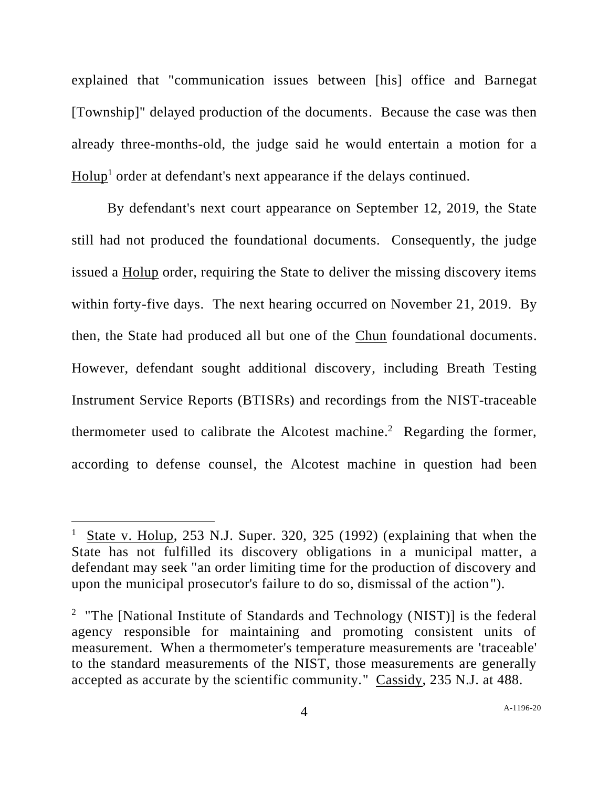explained that "communication issues between [his] office and Barnegat [Township]" delayed production of the documents. Because the case was then already three-months-old, the judge said he would entertain a motion for a Holup<sup>1</sup> order at defendant's next appearance if the delays continued.

By defendant's next court appearance on September 12, 2019, the State still had not produced the foundational documents. Consequently, the judge issued a Holup order, requiring the State to deliver the missing discovery items within forty-five days. The next hearing occurred on November 21, 2019. By then, the State had produced all but one of the Chun foundational documents. However, defendant sought additional discovery, including Breath Testing Instrument Service Reports (BTISRs) and recordings from the NIST-traceable thermometer used to calibrate the Alcotest machine.<sup>2</sup> Regarding the former, according to defense counsel, the Alcotest machine in question had been

<sup>&</sup>lt;sup>1</sup> State v. Holup, 253 N.J. Super. 320, 325 (1992) (explaining that when the State has not fulfilled its discovery obligations in a municipal matter, a defendant may seek "an order limiting time for the production of discovery and upon the municipal prosecutor's failure to do so, dismissal of the action").

<sup>&</sup>lt;sup>2</sup> "The [National Institute of Standards and Technology (NIST)] is the federal agency responsible for maintaining and promoting consistent units of measurement. When a thermometer's temperature measurements are 'traceable' to the standard measurements of the NIST, those measurements are generally accepted as accurate by the scientific community." Cassidy, 235 N.J. at 488.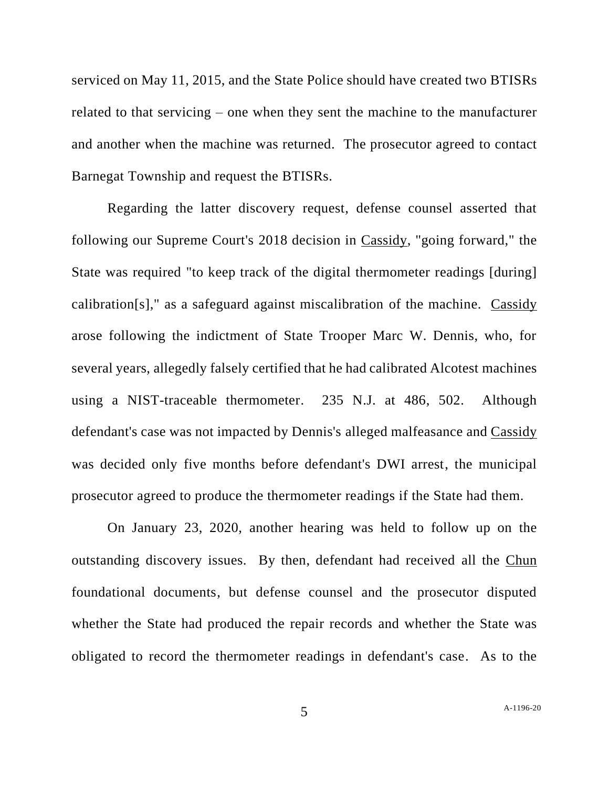serviced on May 11, 2015, and the State Police should have created two BTISRs related to that servicing – one when they sent the machine to the manufacturer and another when the machine was returned. The prosecutor agreed to contact Barnegat Township and request the BTISRs.

Regarding the latter discovery request, defense counsel asserted that following our Supreme Court's 2018 decision in Cassidy, "going forward," the State was required "to keep track of the digital thermometer readings [during] calibration[s]," as a safeguard against miscalibration of the machine. Cassidy arose following the indictment of State Trooper Marc W. Dennis, who, for several years, allegedly falsely certified that he had calibrated Alcotest machines using a NIST-traceable thermometer. 235 N.J. at 486, 502. Although defendant's case was not impacted by Dennis's alleged malfeasance and Cassidy was decided only five months before defendant's DWI arrest, the municipal prosecutor agreed to produce the thermometer readings if the State had them.

On January 23, 2020, another hearing was held to follow up on the outstanding discovery issues. By then, defendant had received all the Chun foundational documents, but defense counsel and the prosecutor disputed whether the State had produced the repair records and whether the State was obligated to record the thermometer readings in defendant's case. As to the

5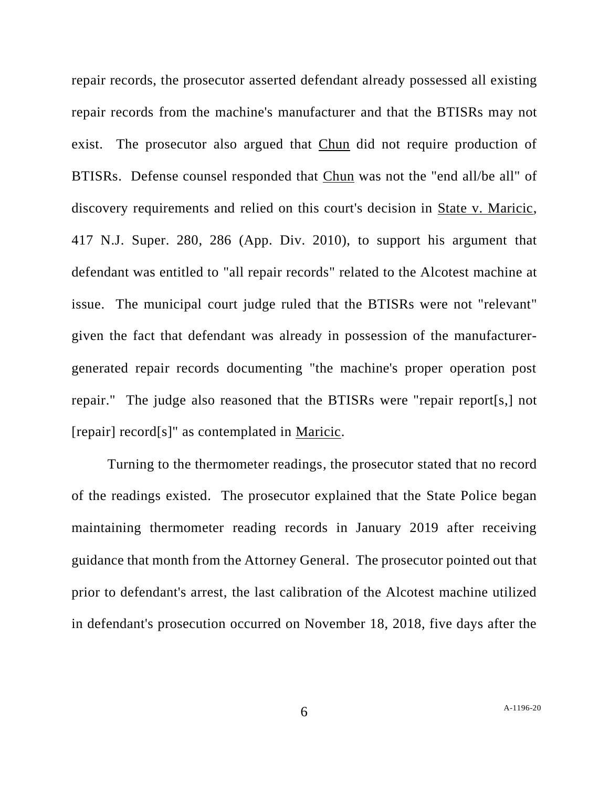repair records, the prosecutor asserted defendant already possessed all existing repair records from the machine's manufacturer and that the BTISRs may not exist. The prosecutor also argued that Chun did not require production of BTISRs. Defense counsel responded that Chun was not the "end all/be all" of discovery requirements and relied on this court's decision in State v. Maricic, 417 N.J. Super. 280, 286 (App. Div. 2010), to support his argument that defendant was entitled to "all repair records" related to the Alcotest machine at issue. The municipal court judge ruled that the BTISRs were not "relevant" given the fact that defendant was already in possession of the manufacturergenerated repair records documenting "the machine's proper operation post repair." The judge also reasoned that the BTISRs were "repair report[s,] not [repair] record[s]" as contemplated in Maricic.

Turning to the thermometer readings, the prosecutor stated that no record of the readings existed. The prosecutor explained that the State Police began maintaining thermometer reading records in January 2019 after receiving guidance that month from the Attorney General. The prosecutor pointed out that prior to defendant's arrest, the last calibration of the Alcotest machine utilized in defendant's prosecution occurred on November 18, 2018, five days after the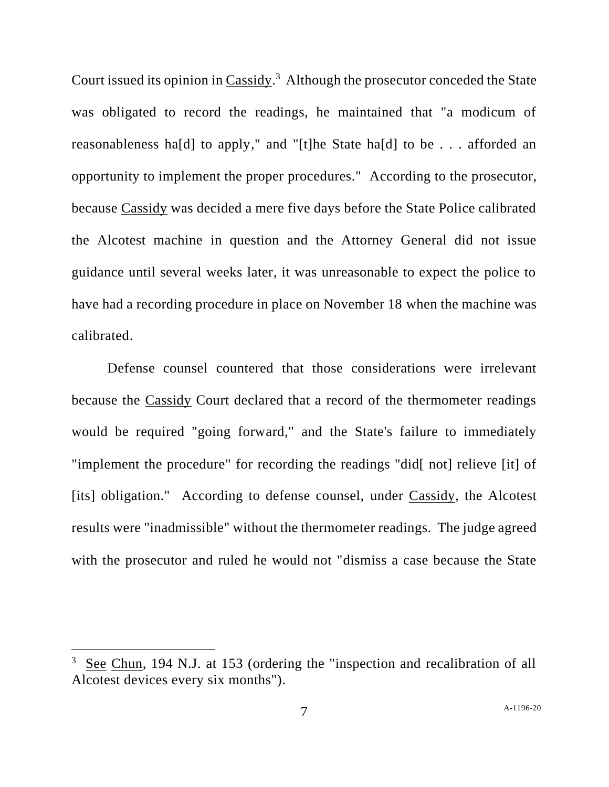Court issued its opinion in Cassidy.<sup>3</sup> Although the prosecutor conceded the State was obligated to record the readings, he maintained that "a modicum of reasonableness ha[d] to apply," and "[t]he State ha[d] to be . . . afforded an opportunity to implement the proper procedures." According to the prosecutor, because Cassidy was decided a mere five days before the State Police calibrated the Alcotest machine in question and the Attorney General did not issue guidance until several weeks later, it was unreasonable to expect the police to have had a recording procedure in place on November 18 when the machine was calibrated.

Defense counsel countered that those considerations were irrelevant because the Cassidy Court declared that a record of the thermometer readings would be required "going forward," and the State's failure to immediately "implement the procedure" for recording the readings "did[ not] relieve [it] of [its] obligation." According to defense counsel, under Cassidy, the Alcotest results were "inadmissible" without the thermometer readings. The judge agreed with the prosecutor and ruled he would not "dismiss a case because the State

<sup>3</sup> See Chun, 194 N.J. at 153 (ordering the "inspection and recalibration of all Alcotest devices every six months").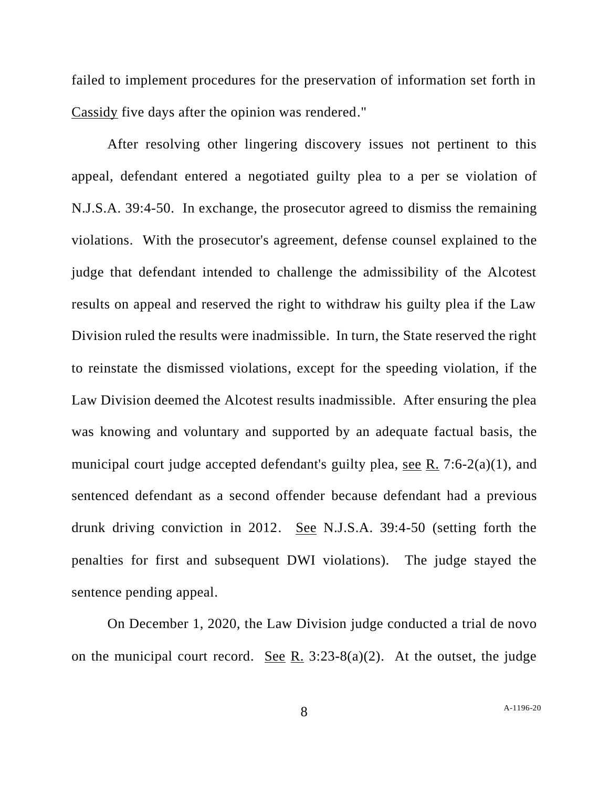failed to implement procedures for the preservation of information set forth in Cassidy five days after the opinion was rendered."

After resolving other lingering discovery issues not pertinent to this appeal, defendant entered a negotiated guilty plea to a per se violation of N.J.S.A. 39:4-50. In exchange, the prosecutor agreed to dismiss the remaining violations. With the prosecutor's agreement, defense counsel explained to the judge that defendant intended to challenge the admissibility of the Alcotest results on appeal and reserved the right to withdraw his guilty plea if the Law Division ruled the results were inadmissible. In turn, the State reserved the right to reinstate the dismissed violations, except for the speeding violation, if the Law Division deemed the Alcotest results inadmissible. After ensuring the plea was knowing and voluntary and supported by an adequate factual basis, the municipal court judge accepted defendant's guilty plea, see R. 7:6-2(a)(1), and sentenced defendant as a second offender because defendant had a previous drunk driving conviction in 2012. See N.J.S.A. 39:4-50 (setting forth the penalties for first and subsequent DWI violations). The judge stayed the sentence pending appeal.

On December 1, 2020, the Law Division judge conducted a trial de novo on the municipal court record. See R.  $3:23-8(a)(2)$ . At the outset, the judge

8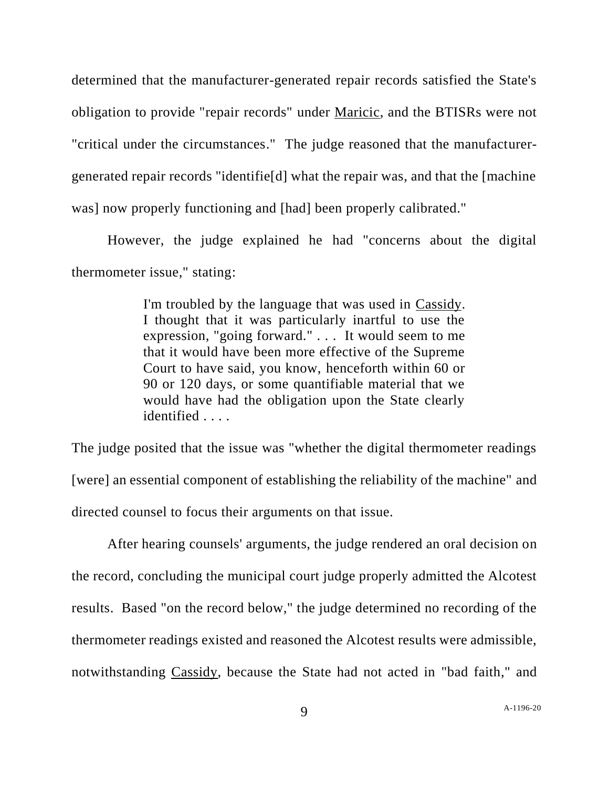determined that the manufacturer-generated repair records satisfied the State's obligation to provide "repair records" under Maricic, and the BTISRs were not "critical under the circumstances." The judge reasoned that the manufacturergenerated repair records "identifie[d] what the repair was, and that the [machine was] now properly functioning and [had] been properly calibrated."

However, the judge explained he had "concerns about the digital thermometer issue," stating:

> I'm troubled by the language that was used in Cassidy. I thought that it was particularly inartful to use the expression, "going forward." . . . It would seem to me that it would have been more effective of the Supreme Court to have said, you know, henceforth within 60 or 90 or 120 days, or some quantifiable material that we would have had the obligation upon the State clearly identified . . . .

The judge posited that the issue was "whether the digital thermometer readings [were] an essential component of establishing the reliability of the machine" and directed counsel to focus their arguments on that issue.

After hearing counsels' arguments, the judge rendered an oral decision on the record, concluding the municipal court judge properly admitted the Alcotest results. Based "on the record below," the judge determined no recording of the thermometer readings existed and reasoned the Alcotest results were admissible, notwithstanding Cassidy, because the State had not acted in "bad faith," and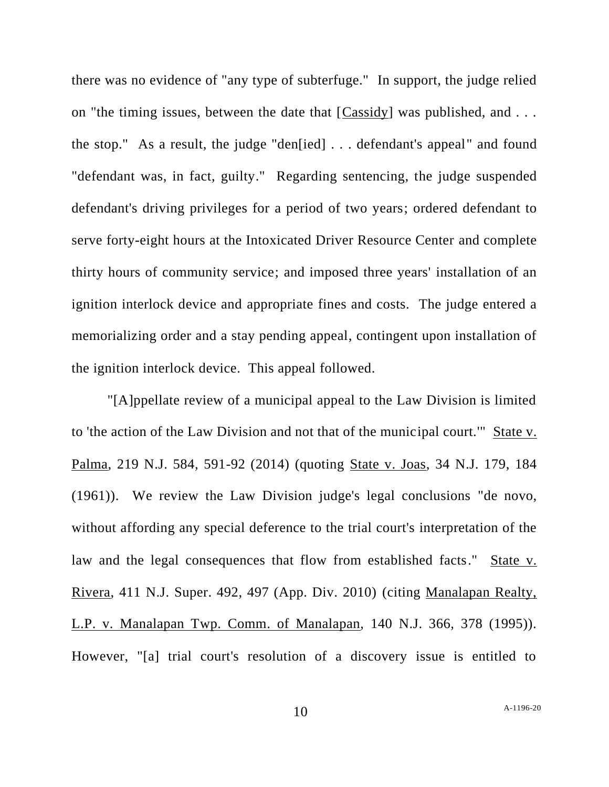there was no evidence of "any type of subterfuge." In support, the judge relied on "the timing issues, between the date that [Cassidy] was published, and . . . the stop." As a result, the judge "den[ied] . . . defendant's appeal" and found "defendant was, in fact, guilty." Regarding sentencing, the judge suspended defendant's driving privileges for a period of two years; ordered defendant to serve forty-eight hours at the Intoxicated Driver Resource Center and complete thirty hours of community service; and imposed three years' installation of an ignition interlock device and appropriate fines and costs. The judge entered a memorializing order and a stay pending appeal, contingent upon installation of the ignition interlock device. This appeal followed.

"[A]ppellate review of a municipal appeal to the Law Division is limited to 'the action of the Law Division and not that of the municipal court.'" State v. Palma, 219 N.J. 584, 591-92 (2014) (quoting State v. Joas, 34 N.J. 179, 184 (1961)). We review the Law Division judge's legal conclusions "de novo, without affording any special deference to the trial court's interpretation of the law and the legal consequences that flow from established facts." State v. Rivera, 411 N.J. Super. 492, 497 (App. Div. 2010) (citing Manalapan Realty, L.P. v. Manalapan Twp. Comm. of Manalapan, 140 N.J. 366, 378 (1995)). However, "[a] trial court's resolution of a discovery issue is entitled to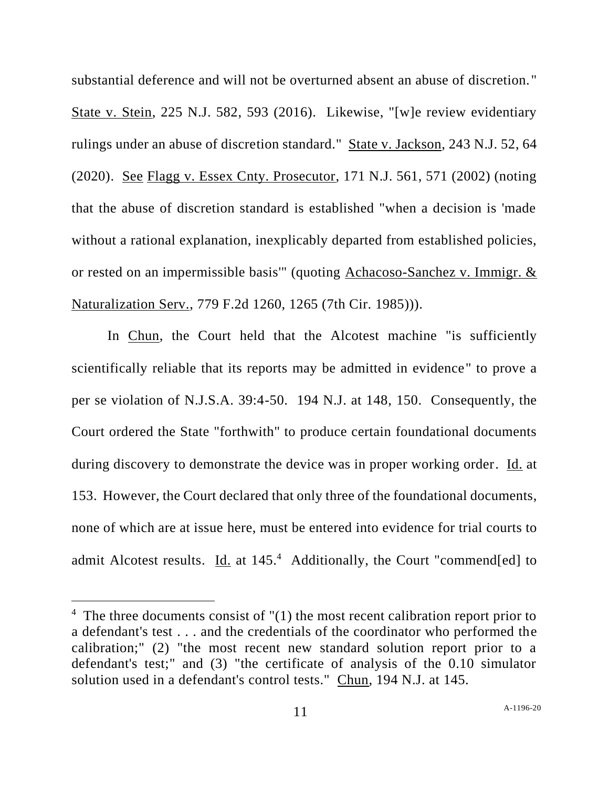substantial deference and will not be overturned absent an abuse of discretion. " State v. Stein, 225 N.J. 582, 593 (2016). Likewise, "[w]e review evidentiary rulings under an abuse of discretion standard." State v. Jackson, 243 N.J. 52, 64 (2020). See Flagg v. Essex Cnty. Prosecutor, 171 N.J. 561, 571 (2002) (noting that the abuse of discretion standard is established "when a decision is 'made without a rational explanation, inexplicably departed from established policies, or rested on an impermissible basis'" (quoting Achacoso-Sanchez v. Immigr. & Naturalization Serv., 779 F.2d 1260, 1265 (7th Cir. 1985))).

In Chun, the Court held that the Alcotest machine "is sufficiently scientifically reliable that its reports may be admitted in evidence" to prove a per se violation of N.J.S.A. 39:4-50. 194 N.J. at 148, 150. Consequently, the Court ordered the State "forthwith" to produce certain foundational documents during discovery to demonstrate the device was in proper working order. Id. at 153. However, the Court declared that only three of the foundational documents, none of which are at issue here, must be entered into evidence for trial courts to admit Alcotest results. Id. at 145.<sup>4</sup> Additionally, the Court "commend[ed] to

 $4$  The three documents consist of  $''(1)$  the most recent calibration report prior to a defendant's test . . . and the credentials of the coordinator who performed the calibration;" (2) "the most recent new standard solution report prior to a defendant's test;" and (3) "the certificate of analysis of the 0.10 simulator solution used in a defendant's control tests." Chun, 194 N.J. at 145.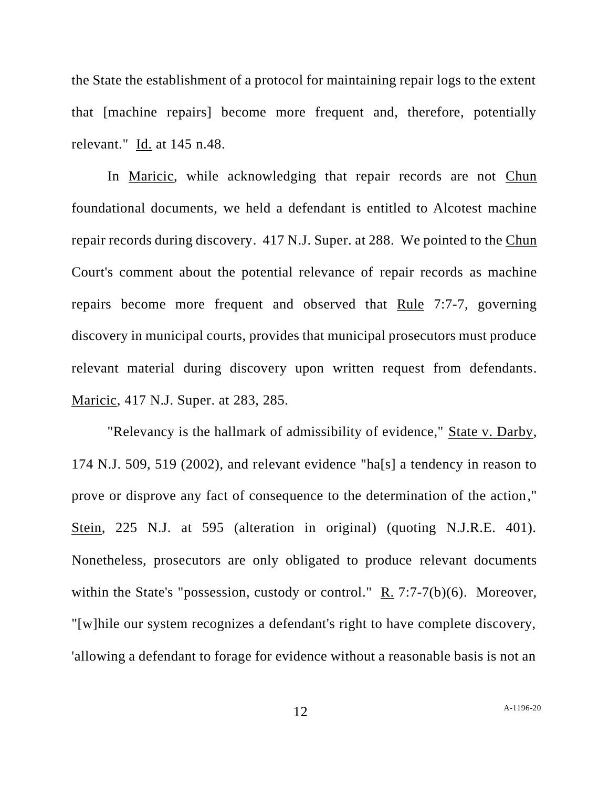the State the establishment of a protocol for maintaining repair logs to the extent that [machine repairs] become more frequent and, therefore, potentially relevant." Id. at 145 n.48.

In Maricic, while acknowledging that repair records are not Chun foundational documents, we held a defendant is entitled to Alcotest machine repair records during discovery. 417 N.J. Super. at 288. We pointed to the Chun Court's comment about the potential relevance of repair records as machine repairs become more frequent and observed that Rule 7:7-7, governing discovery in municipal courts, provides that municipal prosecutors must produce relevant material during discovery upon written request from defendants. Maricic, 417 N.J. Super. at 283, 285.

"Relevancy is the hallmark of admissibility of evidence," State v. Darby, 174 N.J. 509, 519 (2002), and relevant evidence "ha[s] a tendency in reason to prove or disprove any fact of consequence to the determination of the action," Stein, 225 N.J. at 595 (alteration in original) (quoting N.J.R.E. 401). Nonetheless, prosecutors are only obligated to produce relevant documents within the State's "possession, custody or control." R. 7:7-7(b)(6). Moreover, "[w]hile our system recognizes a defendant's right to have complete discovery, 'allowing a defendant to forage for evidence without a reasonable basis is not an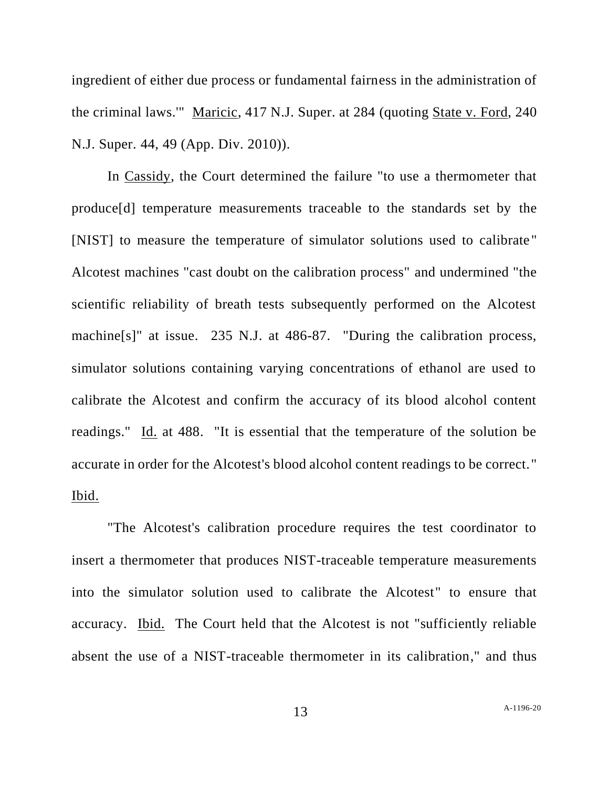ingredient of either due process or fundamental fairness in the administration of the criminal laws.'" Maricic, 417 N.J. Super. at 284 (quoting State v. Ford, 240 N.J. Super. 44, 49 (App. Div. 2010)).

In Cassidy, the Court determined the failure "to use a thermometer that produce[d] temperature measurements traceable to the standards set by the [NIST] to measure the temperature of simulator solutions used to calibrate " Alcotest machines "cast doubt on the calibration process" and undermined "the scientific reliability of breath tests subsequently performed on the Alcotest machine[s]" at issue. 235 N.J. at 486-87. "During the calibration process, simulator solutions containing varying concentrations of ethanol are used to calibrate the Alcotest and confirm the accuracy of its blood alcohol content readings." Id. at 488. "It is essential that the temperature of the solution be accurate in order for the Alcotest's blood alcohol content readings to be correct." Ibid.

"The Alcotest's calibration procedure requires the test coordinator to insert a thermometer that produces NIST-traceable temperature measurements into the simulator solution used to calibrate the Alcotest" to ensure that accuracy. Ibid. The Court held that the Alcotest is not "sufficiently reliable absent the use of a NIST-traceable thermometer in its calibration," and thus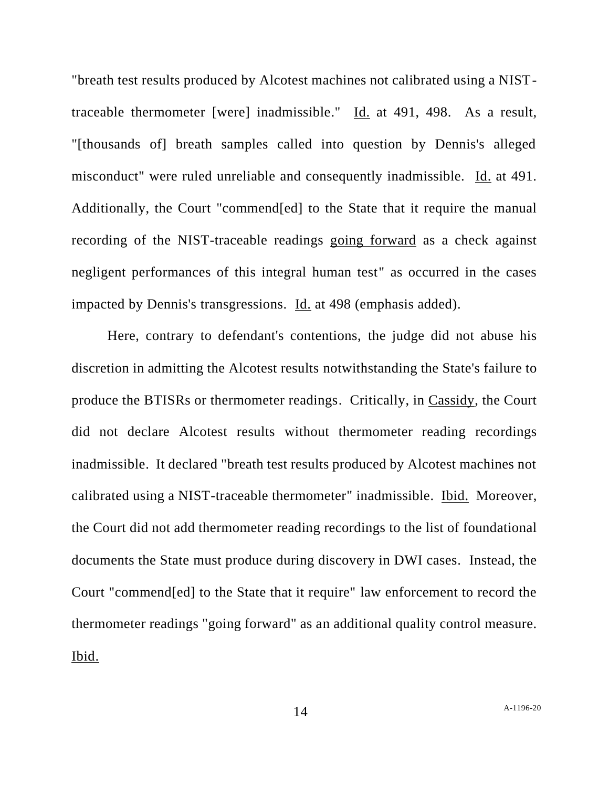"breath test results produced by Alcotest machines not calibrated using a NISTtraceable thermometer [were] inadmissible." Id. at 491, 498. As a result, "[thousands of] breath samples called into question by Dennis's alleged misconduct" were ruled unreliable and consequently inadmissible. Id. at 491. Additionally, the Court "commend[ed] to the State that it require the manual recording of the NIST-traceable readings going forward as a check against negligent performances of this integral human test" as occurred in the cases impacted by Dennis's transgressions. Id. at 498 (emphasis added).

Here, contrary to defendant's contentions, the judge did not abuse his discretion in admitting the Alcotest results notwithstanding the State's failure to produce the BTISRs or thermometer readings. Critically, in Cassidy, the Court did not declare Alcotest results without thermometer reading recordings inadmissible. It declared "breath test results produced by Alcotest machines not calibrated using a NIST-traceable thermometer" inadmissible. Ibid. Moreover, the Court did not add thermometer reading recordings to the list of foundational documents the State must produce during discovery in DWI cases. Instead, the Court "commend[ed] to the State that it require" law enforcement to record the thermometer readings "going forward" as an additional quality control measure. Ibid.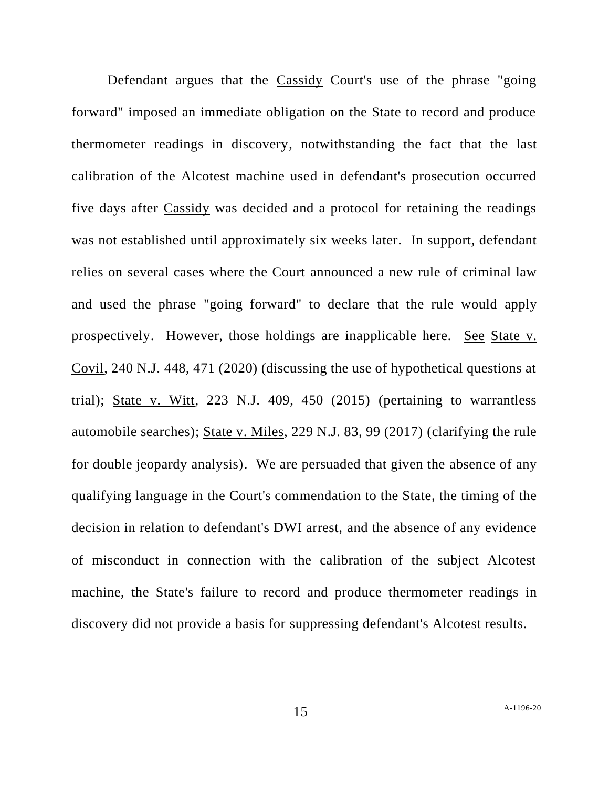Defendant argues that the Cassidy Court's use of the phrase "going forward" imposed an immediate obligation on the State to record and produce thermometer readings in discovery, notwithstanding the fact that the last calibration of the Alcotest machine used in defendant's prosecution occurred five days after Cassidy was decided and a protocol for retaining the readings was not established until approximately six weeks later. In support, defendant relies on several cases where the Court announced a new rule of criminal law and used the phrase "going forward" to declare that the rule would apply prospectively. However, those holdings are inapplicable here. See State v. Covil, 240 N.J. 448, 471 (2020) (discussing the use of hypothetical questions at trial); State v. Witt, 223 N.J. 409, 450 (2015) (pertaining to warrantless automobile searches); State v. Miles, 229 N.J. 83, 99 (2017) (clarifying the rule for double jeopardy analysis). We are persuaded that given the absence of any qualifying language in the Court's commendation to the State, the timing of the decision in relation to defendant's DWI arrest, and the absence of any evidence of misconduct in connection with the calibration of the subject Alcotest machine, the State's failure to record and produce thermometer readings in discovery did not provide a basis for suppressing defendant's Alcotest results.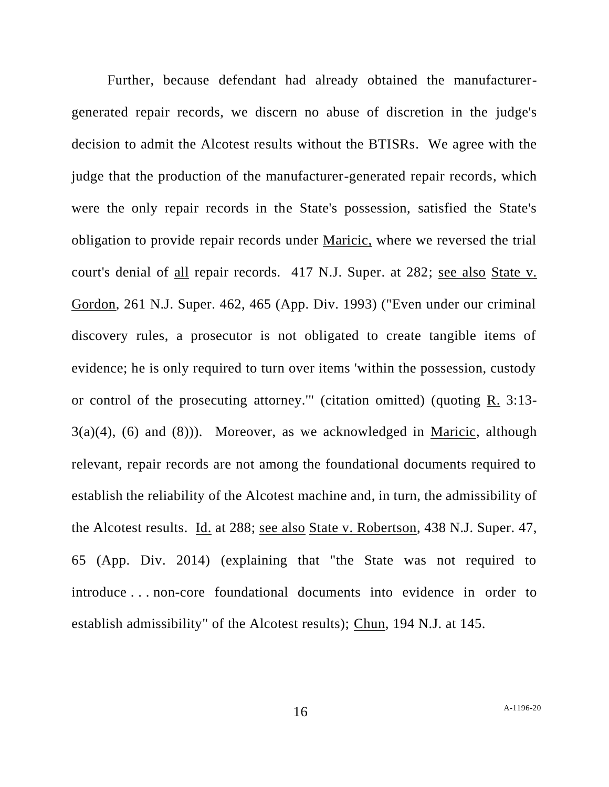Further, because defendant had already obtained the manufacturergenerated repair records, we discern no abuse of discretion in the judge's decision to admit the Alcotest results without the BTISRs. We agree with the judge that the production of the manufacturer-generated repair records, which were the only repair records in the State's possession, satisfied the State's obligation to provide repair records under Maricic, where we reversed the trial court's denial of all repair records. 417 N.J. Super. at 282; see also State v. Gordon, 261 N.J. Super. 462, 465 (App. Div. 1993) ("Even under our criminal discovery rules, a prosecutor is not obligated to create tangible items of evidence; he is only required to turn over items 'within the possession, custody or control of the prosecuting attorney." (citation omitted) (quoting  $R$ , 3:13- $3(a)(4)$ ,  $(6)$  and  $(8)$ )). Moreover, as we acknowledged in Maricic, although relevant, repair records are not among the foundational documents required to establish the reliability of the Alcotest machine and, in turn, the admissibility of the Alcotest results. Id. at 288; see also State v. Robertson, 438 N.J. Super. 47, 65 (App. Div. 2014) (explaining that "the State was not required to introduce . . . non-core foundational documents into evidence in order to establish admissibility" of the Alcotest results); Chun, 194 N.J. at 145.